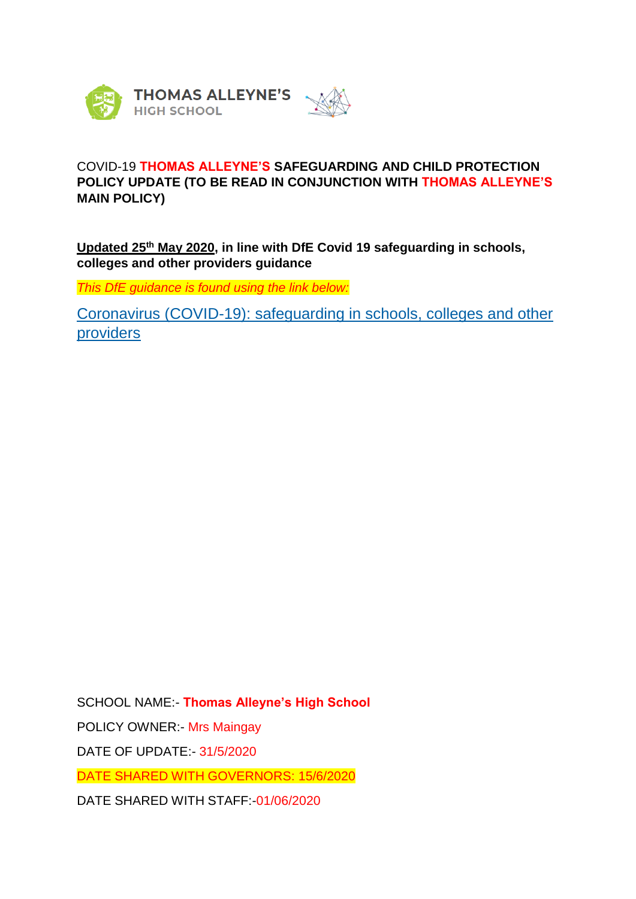

# COVID-19 **THOMAS ALLEYNE'S SAFEGUARDING AND CHILD PROTECTION POLICY UPDATE (TO BE READ IN CONJUNCTION WITH THOMAS ALLEYNE'S MAIN POLICY)**

**Updated 25th May 2020, in line with DfE Covid 19 safeguarding in schools, colleges and other providers guidance**

*This DfE guidance is found using the link below:*

[Coronavirus \(COVID-19\): safeguarding in schools, colleges and other](https://www.gov.uk/government/publications/covid-19-safeguarding-in-schools-colleges-and-other-providers?utm_source=49d71c1e-2384-4131-a025-d5e787bdebab&utm_medium=email&utm_campaign=govuk-notifications&utm_content=immediate)  [providers](https://www.gov.uk/government/publications/covid-19-safeguarding-in-schools-colleges-and-other-providers?utm_source=49d71c1e-2384-4131-a025-d5e787bdebab&utm_medium=email&utm_campaign=govuk-notifications&utm_content=immediate)

SCHOOL NAME:- **Thomas Alleyne's High School** POLICY OWNER:- Mrs Maingay DATE OF UPDATE:- 31/5/2020 DATE SHARED WITH GOVERNORS: 15/6/2020 DATE SHARED WITH STAFF:-01/06/2020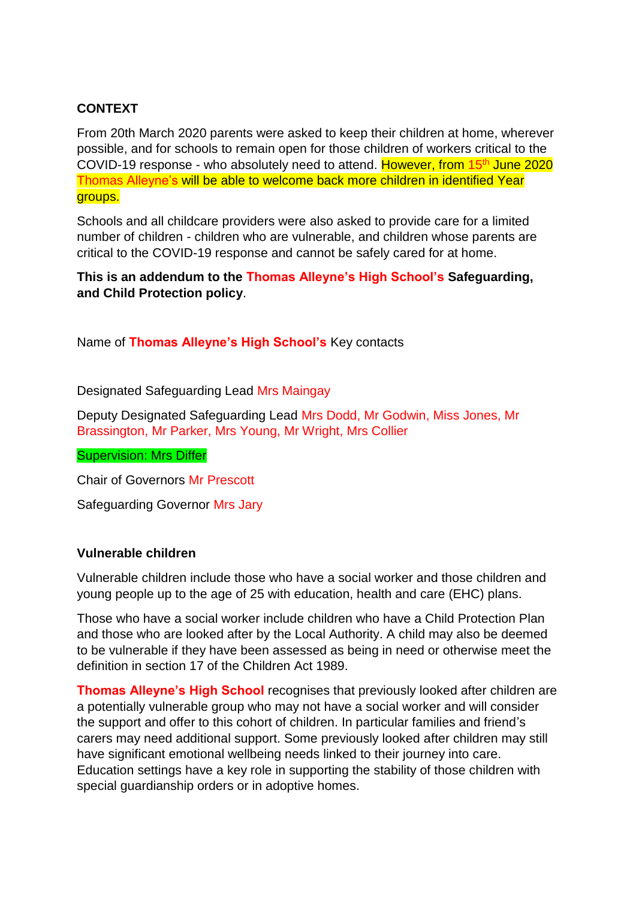# **CONTEXT**

From 20th March 2020 parents were asked to keep their children at home, wherever possible, and for schools to remain open for those children of workers critical to the COVID-19 response - who absolutely need to attend. However, from 15<sup>th</sup> June 2020 Thomas Alleyne's will be able to welcome back more children in identified Year groups.

Schools and all childcare providers were also asked to provide care for a limited number of children - children who are vulnerable, and children whose parents are critical to the COVID-19 response and cannot be safely cared for at home.

**This is an addendum to the Thomas Alleyne's High School's Safeguarding, and Child Protection policy**.

Name of **Thomas Alleyne's High School's** Key contacts

Designated Safeguarding Lead Mrs Maingay

Deputy Designated Safeguarding Lead Mrs Dodd, Mr Godwin, Miss Jones, Mr Brassington, Mr Parker, Mrs Young, Mr Wright, Mrs Collier

Supervision: Mrs Differ

Chair of Governors Mr Prescott

Safeguarding Governor Mrs Jary

#### **Vulnerable children**

Vulnerable children include those who have a social worker and those children and young people up to the age of 25 with education, health and care (EHC) plans.

Those who have a social worker include children who have a Child Protection Plan and those who are looked after by the Local Authority. A child may also be deemed to be vulnerable if they have been assessed as being in need or otherwise meet the definition in section 17 of the Children Act 1989.

**Thomas Alleyne's High School** recognises that previously looked after children are a potentially vulnerable group who may not have a social worker and will consider the support and offer to this cohort of children. In particular families and friend's carers may need additional support. Some previously looked after children may still have significant emotional wellbeing needs linked to their journey into care. Education settings have a key role in supporting the stability of those children with special guardianship orders or in adoptive homes.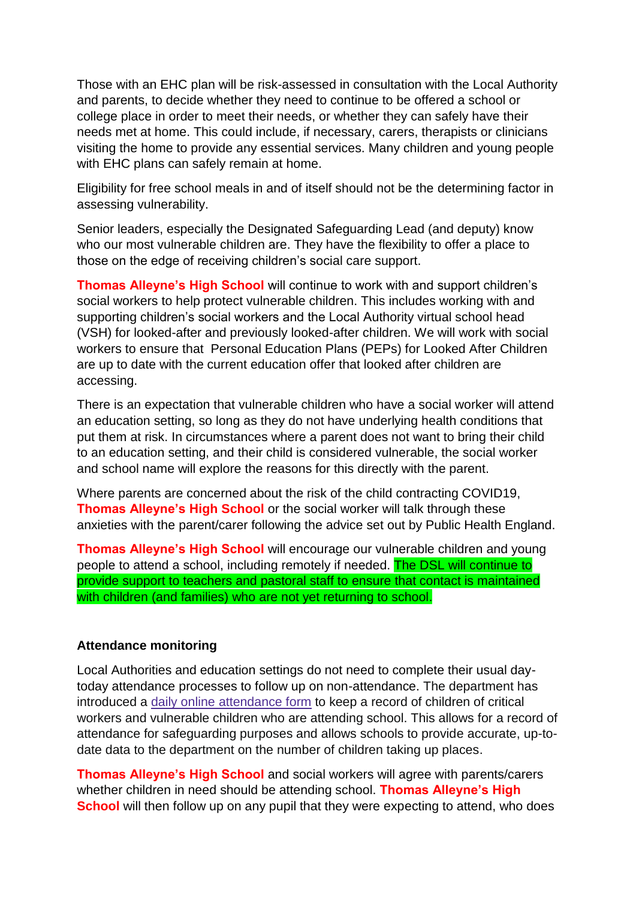Those with an EHC plan will be risk-assessed in consultation with the Local Authority and parents, to decide whether they need to continue to be offered a school or college place in order to meet their needs, or whether they can safely have their needs met at home. This could include, if necessary, carers, therapists or clinicians visiting the home to provide any essential services. Many children and young people with EHC plans can safely remain at home.

Eligibility for free school meals in and of itself should not be the determining factor in assessing vulnerability.

Senior leaders, especially the Designated Safeguarding Lead (and deputy) know who our most vulnerable children are. They have the flexibility to offer a place to those on the edge of receiving children's social care support.

**Thomas Alleyne's High School** will continue to work with and support children's social workers to help protect vulnerable children. This includes working with and supporting children's social workers and the Local Authority virtual school head (VSH) for looked-after and previously looked-after children. We will work with social workers to ensure that Personal Education Plans (PEPs) for Looked After Children are up to date with the current education offer that looked after children are accessing.

There is an expectation that vulnerable children who have a social worker will attend an education setting, so long as they do not have underlying health conditions that put them at risk. In circumstances where a parent does not want to bring their child to an education setting, and their child is considered vulnerable, the social worker and school name will explore the reasons for this directly with the parent.

Where parents are concerned about the risk of the child contracting COVID19, **Thomas Alleyne's High School** or the social worker will talk through these anxieties with the parent/carer following the advice set out by Public Health England.

**Thomas Alleyne's High School** will encourage our vulnerable children and young people to attend a school, including remotely if needed. The DSL will continue to provide support to teachers and pastoral staff to ensure that contact is maintained with children (and families) who are not yet returning to school.

## **Attendance monitoring**

Local Authorities and education settings do not need to complete their usual daytoday attendance processes to follow up on non-attendance. The department has introduced a daily online [attendance](https://www.gov.uk/government/publications/coronavirus-covid-19-attendance-recording-for-educational-settings) form to keep a record of children of critical workers and vulnerable children who are attending school. This allows for a record of attendance for safeguarding purposes and allows schools to provide accurate, up-todate data to the department on the number of children taking up places.

**Thomas Alleyne's High School** and social workers will agree with parents/carers whether children in need should be attending school. **Thomas Alleyne's High School** will then follow up on any pupil that they were expecting to attend, who does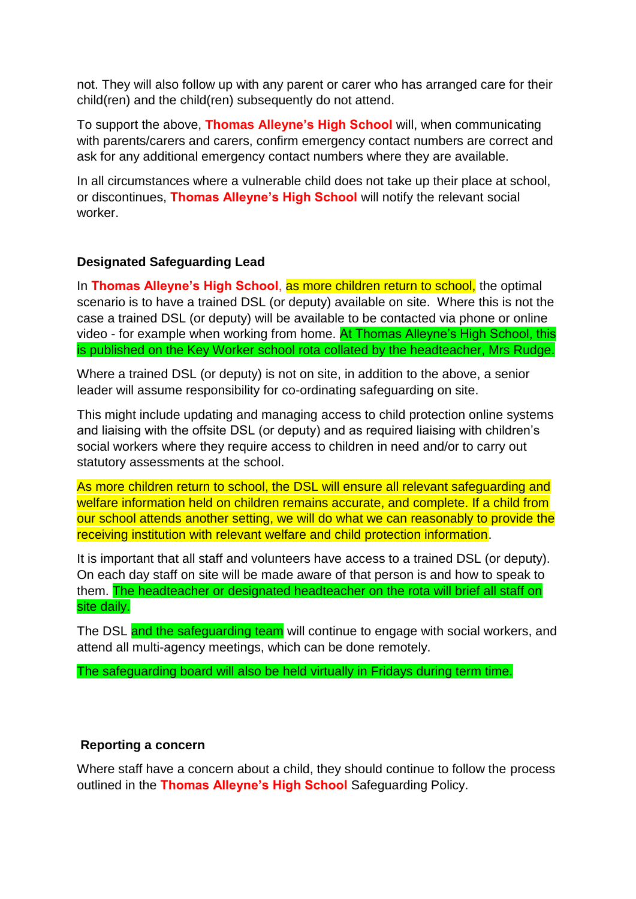not. They will also follow up with any parent or carer who has arranged care for their child(ren) and the child(ren) subsequently do not attend.

To support the above, **Thomas Alleyne's High School** will, when communicating with parents/carers and carers, confirm emergency contact numbers are correct and ask for any additional emergency contact numbers where they are available.

In all circumstances where a vulnerable child does not take up their place at school, or discontinues, **Thomas Alleyne's High School** will notify the relevant social worker.

# **Designated Safeguarding Lead**

In **Thomas Alleyne's High School**, as more children return to school, the optimal scenario is to have a trained DSL (or deputy) available on site. Where this is not the case a trained DSL (or deputy) will be available to be contacted via phone or online video - for example when working from home. At Thomas Alleyne's High School, this is published on the Key Worker school rota collated by the headteacher, Mrs Rudge.

Where a trained DSL (or deputy) is not on site, in addition to the above, a senior leader will assume responsibility for co-ordinating safeguarding on site.

This might include updating and managing access to child protection online systems and liaising with the offsite DSL (or deputy) and as required liaising with children's social workers where they require access to children in need and/or to carry out statutory assessments at the school.

As more children return to school, the DSL will ensure all relevant safeguarding and welfare information held on children remains accurate, and complete. If a child from our school attends another setting, we will do what we can reasonably to provide the receiving institution with relevant welfare and child protection information.

It is important that all staff and volunteers have access to a trained DSL (or deputy). On each day staff on site will be made aware of that person is and how to speak to them. The headteacher or designated headteacher on the rota will brief all staff on site daily.

The DSL and the safeguarding team will continue to engage with social workers, and attend all multi-agency meetings, which can be done remotely.

The safeguarding board will also be held virtually in Fridays during term time.

## **Reporting a concern**

Where staff have a concern about a child, they should continue to follow the process outlined in the **Thomas Alleyne's High School** Safeguarding Policy.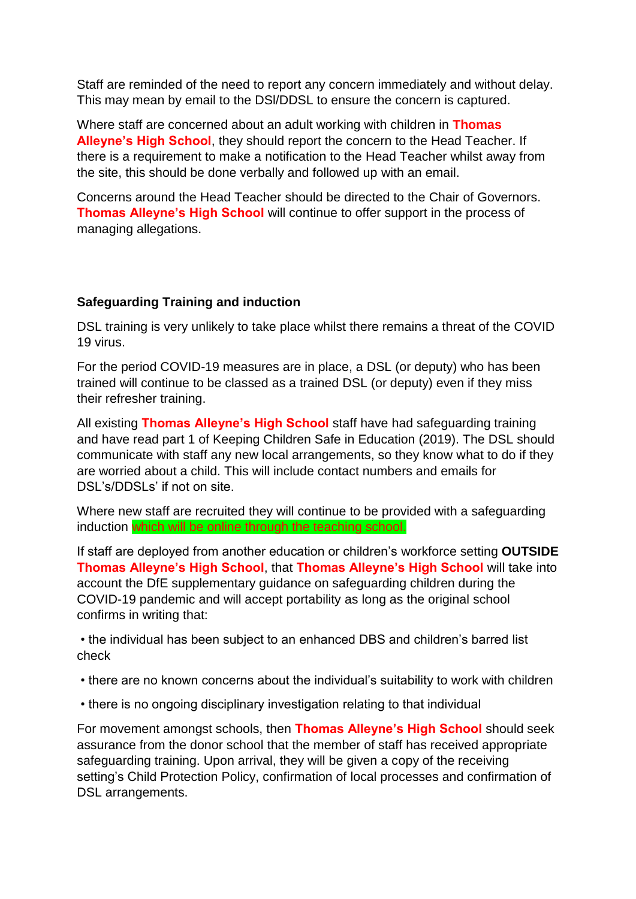Staff are reminded of the need to report any concern immediately and without delay. This may mean by email to the DSl/DDSL to ensure the concern is captured.

Where staff are concerned about an adult working with children in **Thomas Alleyne's High School**, they should report the concern to the Head Teacher. If there is a requirement to make a notification to the Head Teacher whilst away from the site, this should be done verbally and followed up with an email.

Concerns around the Head Teacher should be directed to the Chair of Governors. **Thomas Alleyne's High School** will continue to offer support in the process of managing allegations.

## **Safeguarding Training and induction**

DSL training is very unlikely to take place whilst there remains a threat of the COVID 19 virus.

For the period COVID-19 measures are in place, a DSL (or deputy) who has been trained will continue to be classed as a trained DSL (or deputy) even if they miss their refresher training.

All existing **Thomas Alleyne's High School** staff have had safeguarding training and have read part 1 of Keeping Children Safe in Education (2019). The DSL should communicate with staff any new local arrangements, so they know what to do if they are worried about a child. This will include contact numbers and emails for DSL's/DDSLs' if not on site.

Where new staff are recruited they will continue to be provided with a safeguarding induction which will be online through the teaching school.

If staff are deployed from another education or children's workforce setting **OUTSIDE Thomas Alleyne's High School**, that **Thomas Alleyne's High School** will take into account the DfE supplementary guidance on safeguarding children during the COVID-19 pandemic and will accept portability as long as the original school confirms in writing that:

• the individual has been subject to an enhanced DBS and children's barred list check

- there are no known concerns about the individual's suitability to work with children
- there is no ongoing disciplinary investigation relating to that individual

For movement amongst schools, then **Thomas Alleyne's High School** should seek assurance from the donor school that the member of staff has received appropriate safeguarding training. Upon arrival, they will be given a copy of the receiving setting's Child Protection Policy, confirmation of local processes and confirmation of DSL arrangements.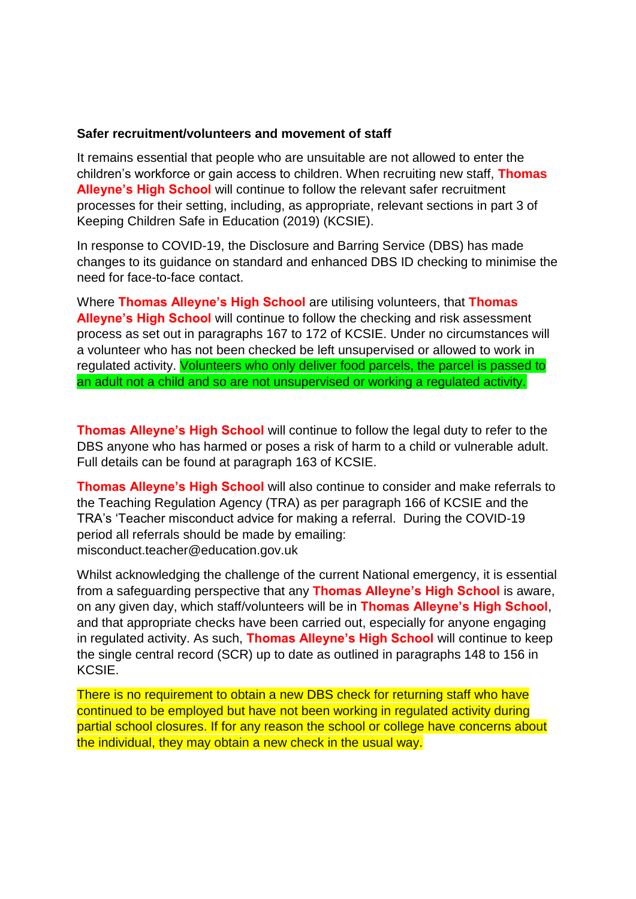## **Safer recruitment/volunteers and movement of staff**

It remains essential that people who are unsuitable are not allowed to enter the children's workforce or gain access to children. When recruiting new staff, **Thomas Alleyne's High School** will continue to follow the relevant safer recruitment processes for their setting, including, as appropriate, relevant sections in part 3 of Keeping Children Safe in Education (2019) (KCSIE).

In response to COVID-19, the Disclosure and Barring Service (DBS) has made changes to its guidance on standard and enhanced DBS ID checking to minimise the need for face-to-face contact.

Where **Thomas Alleyne's High School** are utilising volunteers, that **Thomas Alleyne's High School** will continue to follow the checking and risk assessment process as set out in paragraphs 167 to 172 of KCSIE. Under no circumstances will a volunteer who has not been checked be left unsupervised or allowed to work in regulated activity. Volunteers who only deliver food parcels, the parcel is passed to an adult not a child and so are not unsupervised or working a regulated activity.

**Thomas Alleyne's High School** will continue to follow the legal duty to refer to the DBS anyone who has harmed or poses a risk of harm to a child or vulnerable adult. Full details can be found at paragraph 163 of KCSIE.

**Thomas Alleyne's High School** will also continue to consider and make referrals to the Teaching Regulation Agency (TRA) as per paragraph 166 of KCSIE and the TRA's 'Teacher misconduct advice for making a referral. During the COVID-19 period all referrals should be made by emailing: misconduct.teacher@education.gov.uk

Whilst acknowledging the challenge of the current National emergency, it is essential from a safeguarding perspective that any **Thomas Alleyne's High School** is aware, on any given day, which staff/volunteers will be in **Thomas Alleyne's High School**, and that appropriate checks have been carried out, especially for anyone engaging in regulated activity. As such, **Thomas Alleyne's High School** will continue to keep the single central record (SCR) up to date as outlined in paragraphs 148 to 156 in KCSIE.

There is no requirement to obtain a new DBS check for returning staff who have continued to be employed but have not been working in regulated activity during partial school closures. If for any reason the school or college have concerns about the individual, they may obtain a new check in the usual way.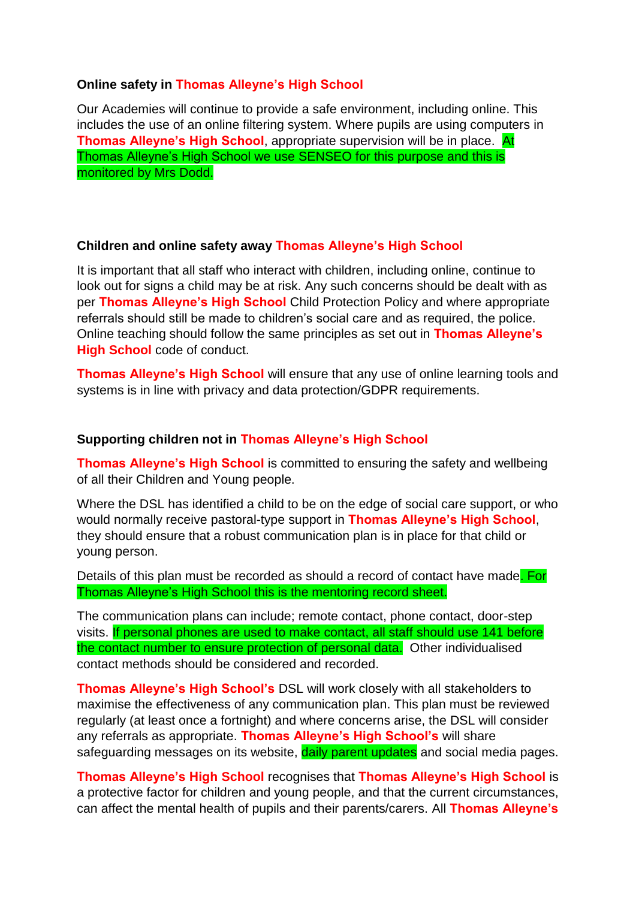## **Online safety in Thomas Alleyne's High School**

Our Academies will continue to provide a safe environment, including online. This includes the use of an online filtering system. Where pupils are using computers in **Thomas Alleyne's High School**, appropriate supervision will be in place. At Thomas Alleyne's High School we use SENSEO for this purpose and this is monitored by Mrs Dodd.

## **Children and online safety away Thomas Alleyne's High School**

It is important that all staff who interact with children, including online, continue to look out for signs a child may be at risk. Any such concerns should be dealt with as per **Thomas Alleyne's High School** Child Protection Policy and where appropriate referrals should still be made to children's social care and as required, the police. Online teaching should follow the same principles as set out in **Thomas Alleyne's High School** code of conduct.

**Thomas Alleyne's High School** will ensure that any use of online learning tools and systems is in line with privacy and data protection/GDPR requirements.

## **Supporting children not in Thomas Alleyne's High School**

**Thomas Alleyne's High School** is committed to ensuring the safety and wellbeing of all their Children and Young people.

Where the DSL has identified a child to be on the edge of social care support, or who would normally receive pastoral-type support in **Thomas Alleyne's High School**, they should ensure that a robust communication plan is in place for that child or young person.

Details of this plan must be recorded as should a record of contact have made. For Thomas Alleyne's High School this is the mentoring record sheet.

The communication plans can include; remote contact, phone contact, door-step visits. If personal phones are used to make contact, all staff should use 141 before the contact number to ensure protection of personal data. Other individualised contact methods should be considered and recorded.

**Thomas Alleyne's High School's** DSL will work closely with all stakeholders to maximise the effectiveness of any communication plan. This plan must be reviewed regularly (at least once a fortnight) and where concerns arise, the DSL will consider any referrals as appropriate. **Thomas Alleyne's High School's** will share safeguarding messages on its website, daily parent updates and social media pages.

**Thomas Alleyne's High School** recognises that **Thomas Alleyne's High School** is a protective factor for children and young people, and that the current circumstances, can affect the mental health of pupils and their parents/carers. All **Thomas Alleyne's**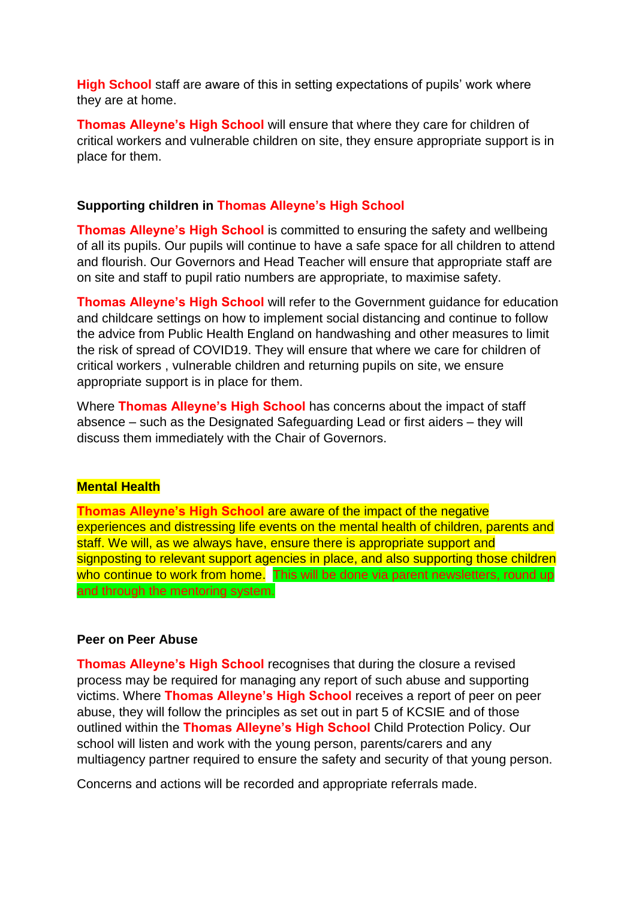**High School** staff are aware of this in setting expectations of pupils' work where they are at home.

**Thomas Alleyne's High School** will ensure that where they care for children of critical workers and vulnerable children on site, they ensure appropriate support is in place for them.

## **Supporting children in Thomas Alleyne's High School**

**Thomas Alleyne's High School** is committed to ensuring the safety and wellbeing of all its pupils. Our pupils will continue to have a safe space for all children to attend and flourish. Our Governors and Head Teacher will ensure that appropriate staff are on site and staff to pupil ratio numbers are appropriate, to maximise safety.

**Thomas Alleyne's High School** will refer to the Government guidance for education and childcare settings on how to implement social distancing and continue to follow the advice from Public Health England on handwashing and other measures to limit the risk of spread of COVID19. They will ensure that where we care for children of critical workers , vulnerable children and returning pupils on site, we ensure appropriate support is in place for them.

Where **Thomas Alleyne's High School** has concerns about the impact of staff absence – such as the Designated Safeguarding Lead or first aiders – they will discuss them immediately with the Chair of Governors.

#### **Mental Health**

**Thomas Alleyne's High School** are aware of the impact of the negative experiences and distressing life events on the mental health of children, parents and staff. We will, as we always have, ensure there is appropriate support and signposting to relevant support agencies in place, and also supporting those children who continue to work from home. This will be done via parent newsletters, round up and through the mentoring system.

#### **Peer on Peer Abuse**

**Thomas Alleyne's High School** recognises that during the closure a revised process may be required for managing any report of such abuse and supporting victims. Where **Thomas Alleyne's High School** receives a report of peer on peer abuse, they will follow the principles as set out in part 5 of KCSIE and of those outlined within the **Thomas Alleyne's High School** Child Protection Policy. Our school will listen and work with the young person, parents/carers and any multiagency partner required to ensure the safety and security of that young person.

Concerns and actions will be recorded and appropriate referrals made.